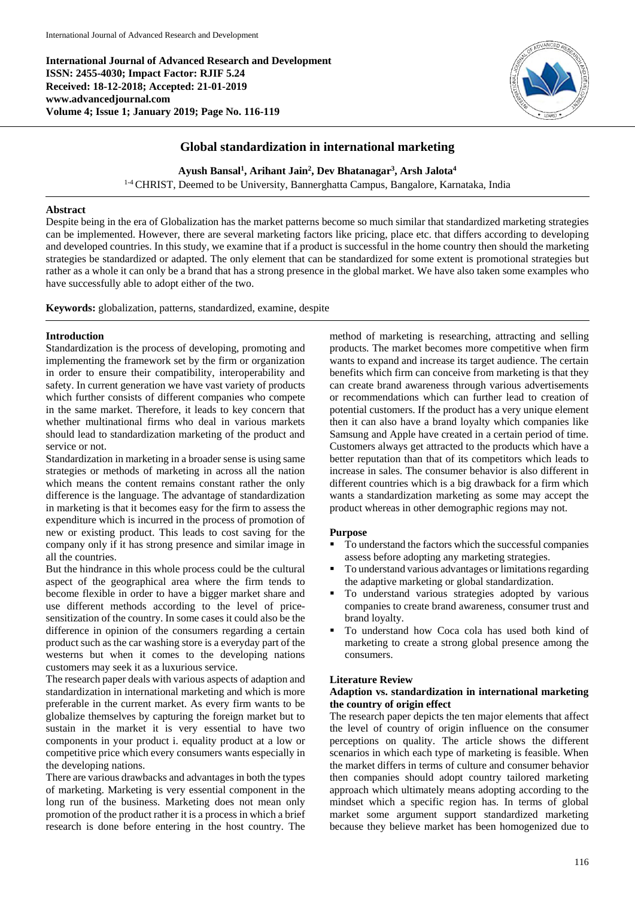**International Journal of Advanced Research and Development ISSN: 2455-4030; Impact Factor: RJIF 5.24 Received: 18-12-2018; Accepted: 21-01-2019 www.advancedjournal.com Volume 4; Issue 1; January 2019; Page No. 116-119**



# **Global standardization in international marketing**

**Ayush Bansal<sup>1</sup> , Arihant Jain<sup>2</sup> , Dev Bhatanagar<sup>3</sup> , Arsh Jalota<sup>4</sup>**

1-4CHRIST, Deemed to be University, Bannerghatta Campus, Bangalore, Karnataka, India

### **Abstract**

Despite being in the era of Globalization has the market patterns become so much similar that standardized marketing strategies can be implemented. However, there are several marketing factors like pricing, place etc. that differs according to developing and developed countries. In this study, we examine that if a product is successful in the home country then should the marketing strategies be standardized or adapted. The only element that can be standardized for some extent is promotional strategies but rather as a whole it can only be a brand that has a strong presence in the global market. We have also taken some examples who have successfully able to adopt either of the two.

**Keywords:** globalization, patterns, standardized, examine, despite

### **Introduction**

Standardization is the process of developing, promoting and implementing the framework set by the firm or organization in order to ensure their compatibility, interoperability and safety. In current generation we have vast variety of products which further consists of different companies who compete in the same market. Therefore, it leads to key concern that whether multinational firms who deal in various markets should lead to standardization marketing of the product and service or not.

Standardization in marketing in a broader sense is using same strategies or methods of marketing in across all the nation which means the content remains constant rather the only difference is the language. The advantage of standardization in marketing is that it becomes easy for the firm to assess the expenditure which is incurred in the process of promotion of new or existing product. This leads to cost saving for the company only if it has strong presence and similar image in all the countries.

But the hindrance in this whole process could be the cultural aspect of the geographical area where the firm tends to become flexible in order to have a bigger market share and use different methods according to the level of pricesensitization of the country. In some cases it could also be the difference in opinion of the consumers regarding a certain product such as the car washing store is a everyday part of the westerns but when it comes to the developing nations customers may seek it as a luxurious service.

The research paper deals with various aspects of adaption and standardization in international marketing and which is more preferable in the current market. As every firm wants to be globalize themselves by capturing the foreign market but to sustain in the market it is very essential to have two components in your product i. equality product at a low or competitive price which every consumers wants especially in the developing nations.

There are various drawbacks and advantages in both the types of marketing. Marketing is very essential component in the long run of the business. Marketing does not mean only promotion of the product rather it is a process in which a brief research is done before entering in the host country. The

method of marketing is researching, attracting and selling products. The market becomes more competitive when firm wants to expand and increase its target audience. The certain benefits which firm can conceive from marketing is that they can create brand awareness through various advertisements or recommendations which can further lead to creation of potential customers. If the product has a very unique element then it can also have a brand loyalty which companies like Samsung and Apple have created in a certain period of time. Customers always get attracted to the products which have a better reputation than that of its competitors which leads to increase in sales. The consumer behavior is also different in different countries which is a big drawback for a firm which wants a standardization marketing as some may accept the product whereas in other demographic regions may not.

#### **Purpose**

- To understand the factors which the successful companies assess before adopting any marketing strategies.
- To understand various advantages or limitationsregarding the adaptive marketing or global standardization.
- To understand various strategies adopted by various companies to create brand awareness, consumer trust and brand loyalty.
- To understand how Coca cola has used both kind of marketing to create a strong global presence among the consumers.

### **Literature Review**

### **Adaption vs. standardization in international marketing the country of origin effect**

The research paper depicts the ten major elements that affect the level of country of origin influence on the consumer perceptions on quality. The article shows the different scenarios in which each type of marketing is feasible. When the market differs in terms of culture and consumer behavior then companies should adopt country tailored marketing approach which ultimately means adopting according to the mindset which a specific region has. In terms of global market some argument support standardized marketing because they believe market has been homogenized due to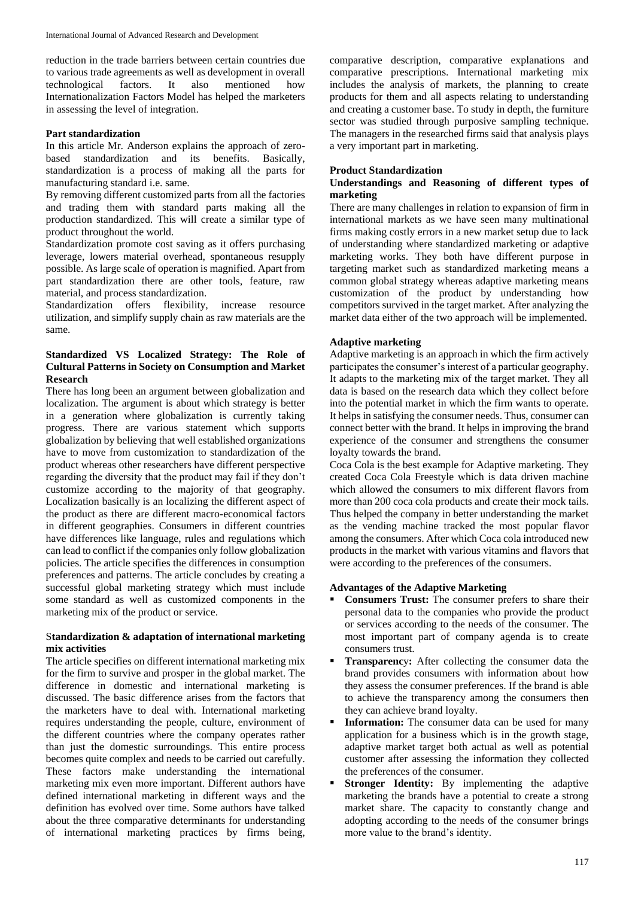reduction in the trade barriers between certain countries due to various trade agreements as well as development in overall technological factors. It also mentioned how Internationalization Factors Model has helped the marketers in assessing the level of integration.

## **Part standardization**

In this article Mr. Anderson explains the approach of zerobased standardization and its benefits. Basically, standardization is a process of making all the parts for manufacturing standard i.e. same.

By removing different customized parts from all the factories and trading them with standard parts making all the production standardized. This will create a similar type of product throughout the world.

Standardization promote cost saving as it offers purchasing leverage, lowers material overhead, spontaneous resupply possible. As large scale of operation is magnified. Apart from part standardization there are other tools, feature, raw material, and process standardization.

Standardization offers flexibility, increase resource utilization, and simplify supply chain as raw materials are the same.

# **Standardized VS Localized Strategy: The Role of Cultural Patterns in Society on Consumption and Market Research**

There has long been an argument between globalization and localization. The argument is about which strategy is better in a generation where globalization is currently taking progress. There are various statement which supports globalization by believing that well established organizations have to move from customization to standardization of the product whereas other researchers have different perspective regarding the diversity that the product may fail if they don't customize according to the majority of that geography. Localization basically is an localizing the different aspect of the product as there are different macro-economical factors in different geographies. Consumers in different countries have differences like language, rules and regulations which can lead to conflict if the companies only follow globalization policies. The article specifies the differences in consumption preferences and patterns. The article concludes by creating a successful global marketing strategy which must include some standard as well as customized components in the marketing mix of the product or service.

## S**tandardization & adaptation of international marketing mix activities**

The article specifies on different international marketing mix for the firm to survive and prosper in the global market. The difference in domestic and international marketing is discussed. The basic difference arises from the factors that the marketers have to deal with. International marketing requires understanding the people, culture, environment of the different countries where the company operates rather than just the domestic surroundings. This entire process becomes quite complex and needs to be carried out carefully. These factors make understanding the international marketing mix even more important. Different authors have defined international marketing in different ways and the definition has evolved over time. Some authors have talked about the three comparative determinants for understanding of international marketing practices by firms being,

comparative description, comparative explanations and comparative prescriptions. International marketing mix includes the analysis of markets, the planning to create products for them and all aspects relating to understanding and creating a customer base. To study in depth, the furniture sector was studied through purposive sampling technique. The managers in the researched firms said that analysis plays a very important part in marketing.

# **Product Standardization**

## **Understandings and Reasoning of different types of marketing**

There are many challenges in relation to expansion of firm in international markets as we have seen many multinational firms making costly errors in a new market setup due to lack of understanding where standardized marketing or adaptive marketing works. They both have different purpose in targeting market such as standardized marketing means a common global strategy whereas adaptive marketing means customization of the product by understanding how competitors survived in the target market. After analyzing the market data either of the two approach will be implemented.

# **Adaptive marketing**

Adaptive marketing is an approach in which the firm actively participates the consumer's interest of a particular geography. It adapts to the marketing mix of the target market. They all data is based on the research data which they collect before into the potential market in which the firm wants to operate. It helps in satisfying the consumer needs. Thus, consumer can connect better with the brand. It helps in improving the brand experience of the consumer and strengthens the consumer loyalty towards the brand.

Coca Cola is the best example for Adaptive marketing. They created Coca Cola Freestyle which is data driven machine which allowed the consumers to mix different flavors from more than 200 coca cola products and create their mock tails. Thus helped the company in better understanding the market as the vending machine tracked the most popular flavor among the consumers. After which Coca cola introduced new products in the market with various vitamins and flavors that were according to the preferences of the consumers.

## **Advantages of the Adaptive Marketing**

- **Consumers Trust:** The consumer prefers to share their personal data to the companies who provide the product or services according to the needs of the consumer. The most important part of company agenda is to create consumers trust.
- **Transparenc**y**:** After collecting the consumer data the brand provides consumers with information about how they assess the consumer preferences. If the brand is able to achieve the transparency among the consumers then they can achieve brand loyalty.
- **Information:** The consumer data can be used for many application for a business which is in the growth stage, adaptive market target both actual as well as potential customer after assessing the information they collected the preferences of the consumer.
- **Stronger Identity:** By implementing the adaptive marketing the brands have a potential to create a strong market share. The capacity to constantly change and adopting according to the needs of the consumer brings more value to the brand's identity.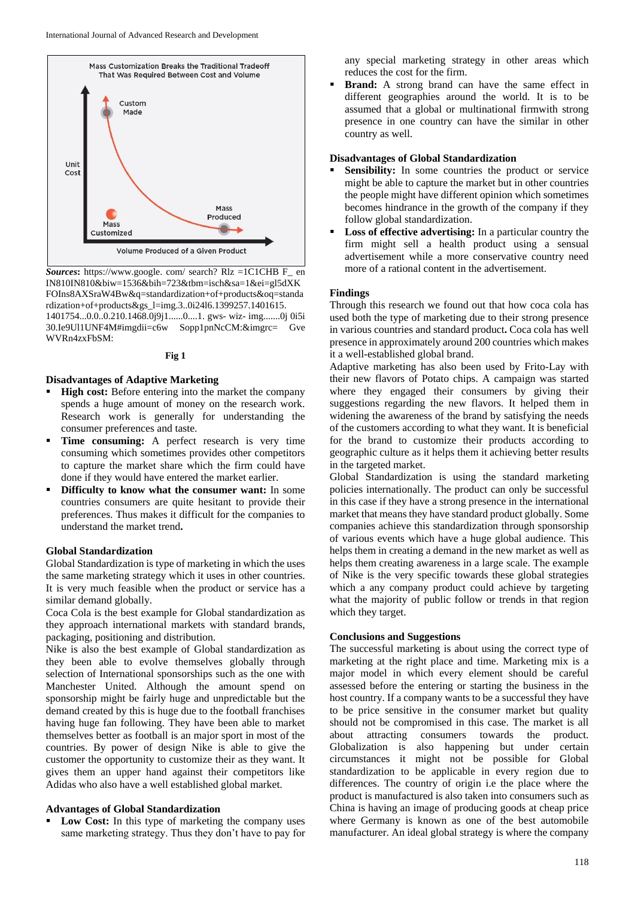

*Sources***:** https://www.google. com/ search? Rlz =1C1CHB F\_ en IN810IN810&biw=1536&bih=723&tbm=isch&sa=1&ei=gl5dXK FOIns8AXSraW4Bw&q=standardization+of+products&oq=standa rdization+of+products&gs\_l=img.3..0i24l6.1399257.1401615. 1401754...0.0..0.210.1468.0j9j1......0....1. gws- wiz- img.......0j 0i5i 30.Ie9Ul1UNF4M#imgdii=c6w Sopp1pnNcCM:&imgrc= Gve

**Fig 1**

#### **Disadvantages of Adaptive Marketing**

WVRn4zxFbSM:

- **High cost:** Before entering into the market the company spends a huge amount of money on the research work. Research work is generally for understanding the consumer preferences and taste.
- **Time consuming:** A perfect research is very time consuming which sometimes provides other competitors to capture the market share which the firm could have done if they would have entered the market earlier.
- **Difficulty to know what the consumer want:** In some countries consumers are quite hesitant to provide their preferences. Thus makes it difficult for the companies to understand the market trend**.**

### **Global Standardization**

Global Standardization is type of marketing in which the uses the same marketing strategy which it uses in other countries. It is very much feasible when the product or service has a similar demand globally.

Coca Cola is the best example for Global standardization as they approach international markets with standard brands, packaging, positioning and distribution.

Nike is also the best example of Global standardization as they been able to evolve themselves globally through selection of International sponsorships such as the one with Manchester United. Although the amount spend on sponsorship might be fairly huge and unpredictable but the demand created by this is huge due to the football franchises having huge fan following. They have been able to market themselves better as football is an major sport in most of the countries. By power of design Nike is able to give the customer the opportunity to customize their as they want. It gives them an upper hand against their competitors like Adidas who also have a well established global market.

#### **Advantages of Global Standardization**

Low Cost: In this type of marketing the company uses same marketing strategy. Thus they don't have to pay for any special marketing strategy in other areas which reduces the cost for the firm.

 **Brand:** A strong brand can have the same effect in different geographies around the world. It is to be assumed that a global or multinational firmwith strong presence in one country can have the similar in other country as well.

### **Disadvantages of Global Standardization**

- **Sensibility:** In some countries the product or service might be able to capture the market but in other countries the people might have different opinion which sometimes becomes hindrance in the growth of the company if they follow global standardization.
- **Loss of effective advertising:** In a particular country the firm might sell a health product using a sensual advertisement while a more conservative country need more of a rational content in the advertisement.

### **Findings**

Through this research we found out that how coca cola has used both the type of marketing due to their strong presence in various countries and standard product**.** Coca cola has well presence in approximately around 200 countries which makes it a well-established global brand.

Adaptive marketing has also been used by Frito-Lay with their new flavors of Potato chips. A campaign was started where they engaged their consumers by giving their suggestions regarding the new flavors. It helped them in widening the awareness of the brand by satisfying the needs of the customers according to what they want. It is beneficial for the brand to customize their products according to geographic culture as it helps them it achieving better results in the targeted market.

Global Standardization is using the standard marketing policies internationally. The product can only be successful in this case if they have a strong presence in the international market that means they have standard product globally. Some companies achieve this standardization through sponsorship of various events which have a huge global audience. This helps them in creating a demand in the new market as well as helps them creating awareness in a large scale. The example of Nike is the very specific towards these global strategies which a any company product could achieve by targeting what the majority of public follow or trends in that region which they target.

### **Conclusions and Suggestions**

The successful marketing is about using the correct type of marketing at the right place and time. Marketing mix is a major model in which every element should be careful assessed before the entering or starting the business in the host country. If a company wants to be a successful they have to be price sensitive in the consumer market but quality should not be compromised in this case. The market is all about attracting consumers towards the product. Globalization is also happening but under certain circumstances it might not be possible for Global standardization to be applicable in every region due to differences. The country of origin i.e the place where the product is manufactured is also taken into consumers such as China is having an image of producing goods at cheap price where Germany is known as one of the best automobile manufacturer. An ideal global strategy is where the company